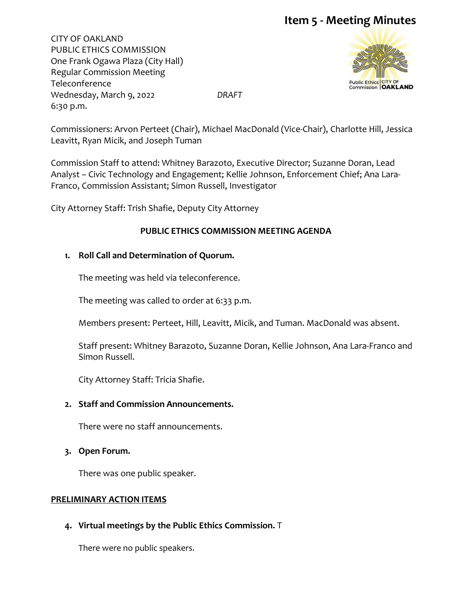CITY OF OAKLAND PUBLIC ETHICS COMMISSION One Frank Ogawa Plaza (City Hall) Regular Commission Meeting Teleconference Wednesday, March 9, 2022 *DRAFT* 6:30 p.m.



Commissioners: Arvon Perteet (Chair), Michael MacDonald (Vice-Chair), Charlotte Hill, Jessica Leavitt, Ryan Micik, and Joseph Tuman

Commission Staff to attend: Whitney Barazoto, Executive Director; Suzanne Doran, Lead Analyst – Civic Technology and Engagement; Kellie Johnson, Enforcement Chief; Ana Lara-Franco, Commission Assistant; Simon Russell, Investigator

City Attorney Staff: Trish Shafie, Deputy City Attorney

## **PUBLIC ETHICS COMMISSION MEETING AGENDA**

## **1. Roll Call and Determination of Quorum.**

The meeting was held via teleconference.

The meeting was called to order at 6:33 p.m.

Members present: Perteet, Hill, Leavitt, Micik, and Tuman. MacDonald was absent.

Staff present: Whitney Barazoto, Suzanne Doran, Kellie Johnson, Ana Lara-Franco and Simon Russell.

City Attorney Staff: Tricia Shafie.

## **2. Staff and Commission Announcements.**

There were no staff announcements.

#### **3. Open Forum.**

There was one public speaker.

#### **PRELIMINARY ACTION ITEMS**

**4. Virtual meetings by the Public Ethics Commission.** T

There were no public speakers.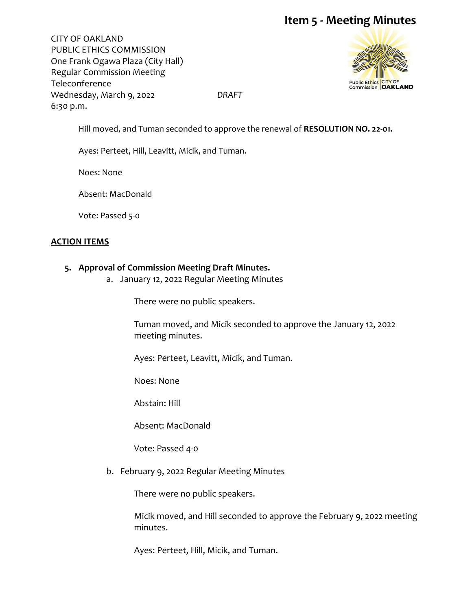CITY OF OAKLAND PUBLIC ETHICS COMMISSION One Frank Ogawa Plaza (City Hall) Regular Commission Meeting Teleconference Wednesday, March 9, 2022 *DRAFT* 6:30 p.m.

Public Ethics CITY OF<br>Commission **OAKLAND** 

Hill moved, and Tuman seconded to approve the renewal of **RESOLUTION NO. 22-01.**

Ayes: Perteet, Hill, Leavitt, Micik, and Tuman.

Noes: None

Absent: MacDonald

Vote: Passed 5-0

#### **ACTION ITEMS**

#### **5. Approval of Commission Meeting Draft Minutes.**

a. January 12, 2022 Regular Meeting Minutes

There were no public speakers.

 Tuman moved, and Micik seconded to approve the January 12, 2022 meeting minutes.

Ayes: Perteet, Leavitt, Micik, and Tuman.

Noes: None

Abstain: Hill

Absent: MacDonald

Vote: Passed 4-0

b. February 9, 2022 Regular Meeting Minutes

There were no public speakers.

 Micik moved, and Hill seconded to approve the February 9, 2022 meeting minutes.

Ayes: Perteet, Hill, Micik, and Tuman.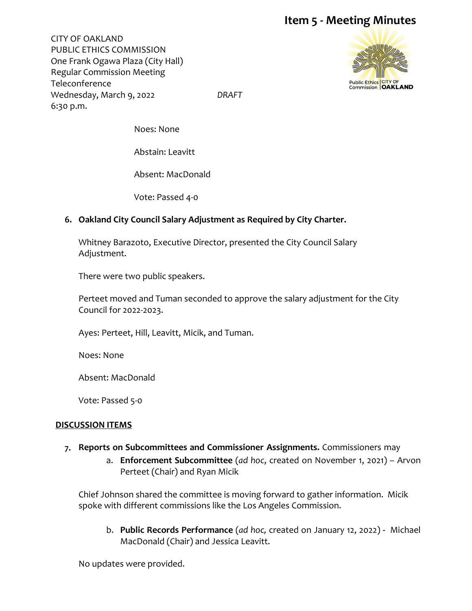CITY OF OAKLAND PUBLIC ETHICS COMMISSION One Frank Ogawa Plaza (City Hall) Regular Commission Meeting Teleconference Wednesday, March 9, 2022 *DRAFT* 6:30 p.m.



Noes: None

Abstain: Leavitt

Absent: MacDonald

Vote: Passed 4-0

## **6. Oakland City Council Salary Adjustment as Required by City Charter.**

Whitney Barazoto, Executive Director, presented the City Council Salary Adjustment.

There were two public speakers.

Perteet moved and Tuman seconded to approve the salary adjustment for the City Council for 2022-2023.

Ayes: Perteet, Hill, Leavitt, Micik, and Tuman.

Noes: None

Absent: MacDonald

Vote: Passed 5-0

## **DISCUSSION ITEMS**

- **7. Reports on Subcommittees and Commissioner Assignments.** Commissioners may
	- a. **Enforcement Subcommittee** (*ad hoc*, created on November 1, 2021) Arvon Perteet (Chair) and Ryan Micik

Chief Johnson shared the committee is moving forward to gather information. Micik spoke with different commissions like the Los Angeles Commission.

b. **Public Records Performance** (*ad hoc,* created on January 12, 2022) **-** Michael MacDonald (Chair) and Jessica Leavitt.

No updates were provided.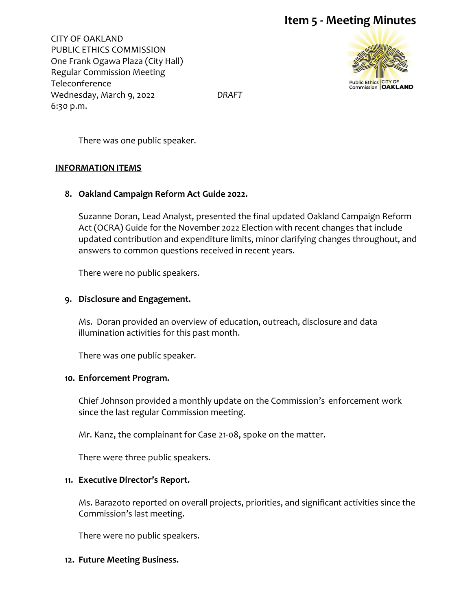CITY OF OAKLAND PUBLIC ETHICS COMMISSION One Frank Ogawa Plaza (City Hall) Regular Commission Meeting Teleconference Wednesday, March 9, 2022 *DRAFT* 6:30 p.m.



There was one public speaker.

#### **INFORMATION ITEMS**

### **8. Oakland Campaign Reform Act Guide 2022.**

Suzanne Doran, Lead Analyst, presented the final updated Oakland Campaign Reform Act (OCRA) Guide for the November 2022 Election with recent changes that include updated contribution and expenditure limits, minor clarifying changes throughout, and answers to common questions received in recent years.

There were no public speakers.

## **9. Disclosure and Engagement.**

Ms. Doran provided an overview of education, outreach, disclosure and data illumination activities for this past month.

There was one public speaker.

#### **10. Enforcement Program.**

Chief Johnson provided a monthly update on the Commission's enforcement work since the last regular Commission meeting.

Mr. Kanz, the complainant for Case 21-08, spoke on the matter.

There were three public speakers.

## **11. Executive Director's Report.**

Ms. Barazoto reported on overall projects, priorities, and significant activities since the Commission's last meeting.

There were no public speakers.

#### **12. Future Meeting Business.**